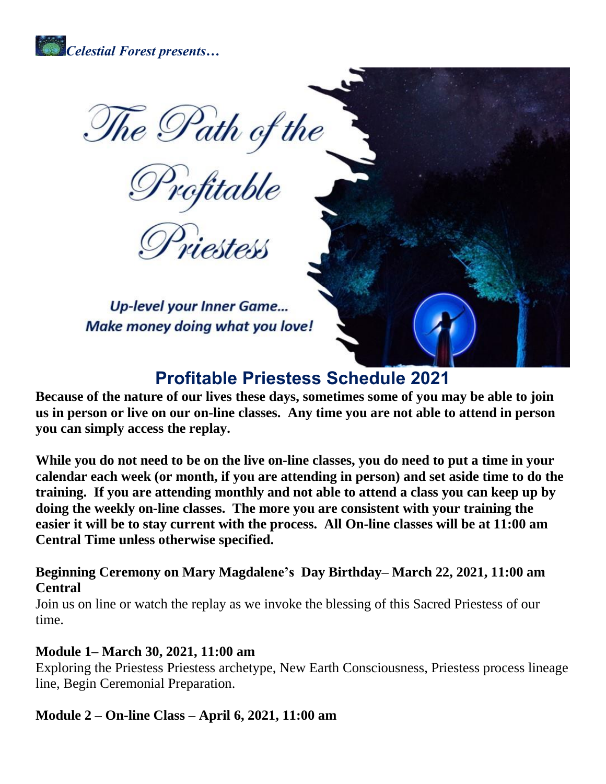

The Path of the<br>Profitable<br>Priestess

**Up-level your Inner Game...** Make money doing what you love!

# **Profitable Priestess Schedule 2021**

**Because of the nature of our lives these days, sometimes some of you may be able to join us in person or live on our on-line classes. Any time you are not able to attend in person you can simply access the replay.**

While you do not need to be on the live on-line classes, you do need to put a time in your **calendar each week (or month, if you are attending in person) and set aside time to do the training. If you are attending monthly and not able to attend a class you can keep up by doing the weekly on-line classes. The more you are consistent with your training the easier it will be to stay current with the process. All On-line classes will be at 11:00 am Central Time unless otherwise specified.**

**Beginning Ceremony on Mary Magdalene's Day Birthday– March 22, 2021, 11:00 am Central**

Join us on line or watch the replay as we invoke the blessing of this Sacred Priestess of our time.

#### **Module 1– March 30, 2021, 11:00 am**

Exploring the Priestess Priestess archetype, New Earth Consciousness, Priestess process lineage line, Begin Ceremonial Preparation.

#### **Module 2 – On-line Class – April 6, 2021, 11:00 am**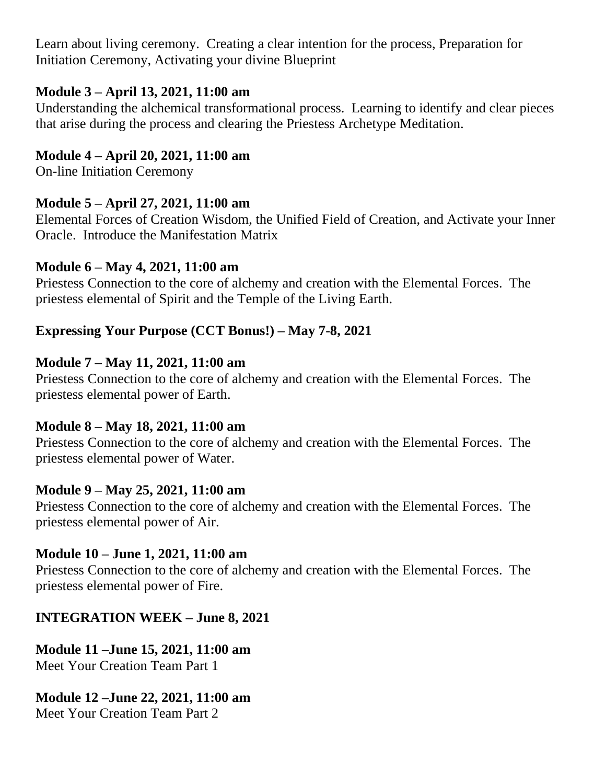Learn about living ceremony. Creating a clear intention for the process, Preparation for Initiation Ceremony, Activating your divine Blueprint

### **Module 3 – April 13, 2021, 11:00 am**

Understanding the alchemical transformational process. Learning to identify and clear pieces that arise during the process and clearing the Priestess Archetype Meditation.

### **Module 4 – April 20, 2021, 11:00 am**

On-line Initiation Ceremony

# **Module 5 – April 27, 2021, 11:00 am**

Elemental Forces of Creation Wisdom, the Unified Field of Creation, and Activate your Inner Oracle. Introduce the Manifestation Matrix

#### **Module 6 – May 4, 2021, 11:00 am**

Priestess Connection to the core of alchemy and creation with the Elemental Forces. The priestess elemental of Spirit and the Temple of the Living Earth.

# **Expressing Your Purpose (CCT Bonus!) – May 7-8, 2021**

#### **Module 7 – May 11, 2021, 11:00 am**

Priestess Connection to the core of alchemy and creation with the Elemental Forces. The priestess elemental power of Earth.

# **Module 8 – May 18, 2021, 11:00 am**

Priestess Connection to the core of alchemy and creation with the Elemental Forces. The priestess elemental power of Water.

# **Module 9 – May 25, 2021, 11:00 am**

Priestess Connection to the core of alchemy and creation with the Elemental Forces. The priestess elemental power of Air.

# **Module 10 – June 1, 2021, 11:00 am**

Priestess Connection to the core of alchemy and creation with the Elemental Forces. The priestess elemental power of Fire.

# **INTEGRATION WEEK – June 8, 2021**

**Module 11 –June 15, 2021, 11:00 am** Meet Your Creation Team Part 1

# **Module 12 –June 22, 2021, 11:00 am**

Meet Your Creation Team Part 2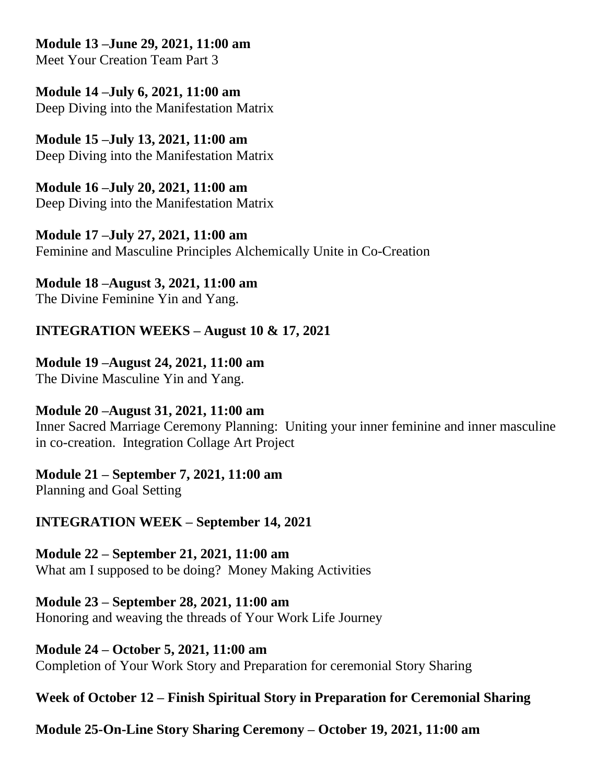**Module 13 –June 29, 2021, 11:00 am**

Meet Your Creation Team Part 3

**Module 14 –July 6, 2021, 11:00 am** Deep Diving into the Manifestation Matrix

**Module 15 –July 13, 2021, 11:00 am** Deep Diving into the Manifestation Matrix

**Module 16 –July 20, 2021, 11:00 am** Deep Diving into the Manifestation Matrix

**Module 17 –July 27, 2021, 11:00 am** Feminine and Masculine Principles Alchemically Unite in Co-Creation

**Module 18 –August 3, 2021, 11:00 am** The Divine Feminine Yin and Yang.

# **INTEGRATION WEEKS – August 10 & 17, 2021**

# **Module 19 –August 24, 2021, 11:00 am**

The Divine Masculine Yin and Yang.

# **Module 20 –August 31, 2021, 11:00 am**

Inner Sacred Marriage Ceremony Planning: Uniting your inner feminine and inner masculine in co-creation. Integration Collage Art Project

#### **Module 21 – September 7, 2021, 11:00 am**

Planning and Goal Setting

# **INTEGRATION WEEK – September 14, 2021**

# **Module 22 – September 21, 2021, 11:00 am**

What am I supposed to be doing? Money Making Activities

# **Module 23 – September 28, 2021, 11:00 am**

Honoring and weaving the threads of Your Work Life Journey

# **Module 24 – October 5, 2021, 11:00 am**

Completion of Your Work Story and Preparation for ceremonial Story Sharing

# **Week of October 12 – Finish Spiritual Story in Preparation for Ceremonial Sharing**

**Module 25-On-Line Story Sharing Ceremony – October 19, 2021, 11:00 am**